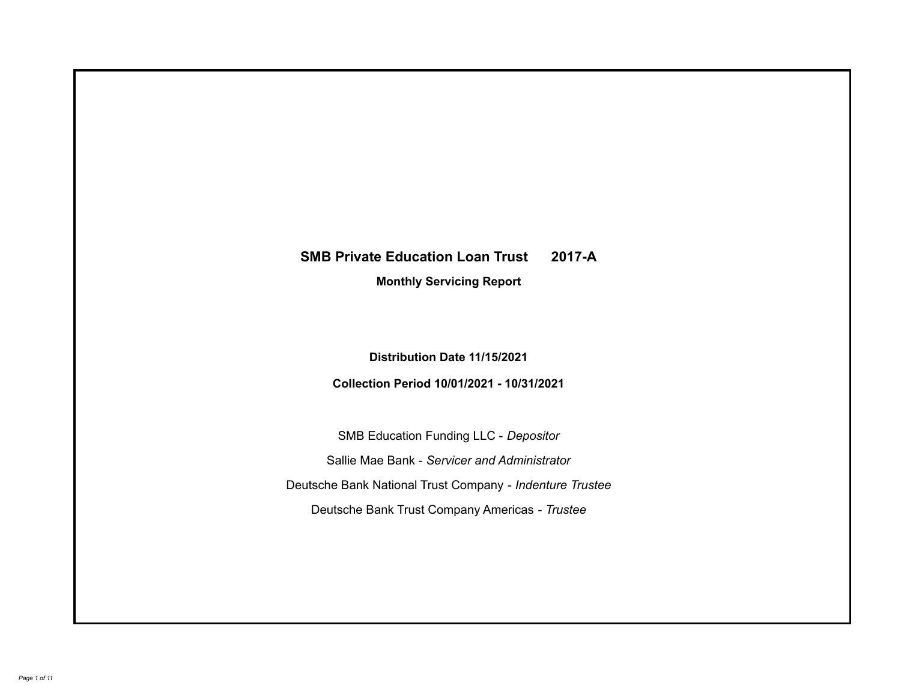# **SMB Private Education Loan Trust 2017-A**

**Monthly Servicing Report**

**Distribution Date 11/15/2021**

**Collection Period 10/01/2021 - 10/31/2021**

SMB Education Funding LLC - *Depositor* Sallie Mae Bank - *Servicer and Administrator* Deutsche Bank National Trust Company - *Indenture Trustee* Deutsche Bank Trust Company Americas - *Trustee*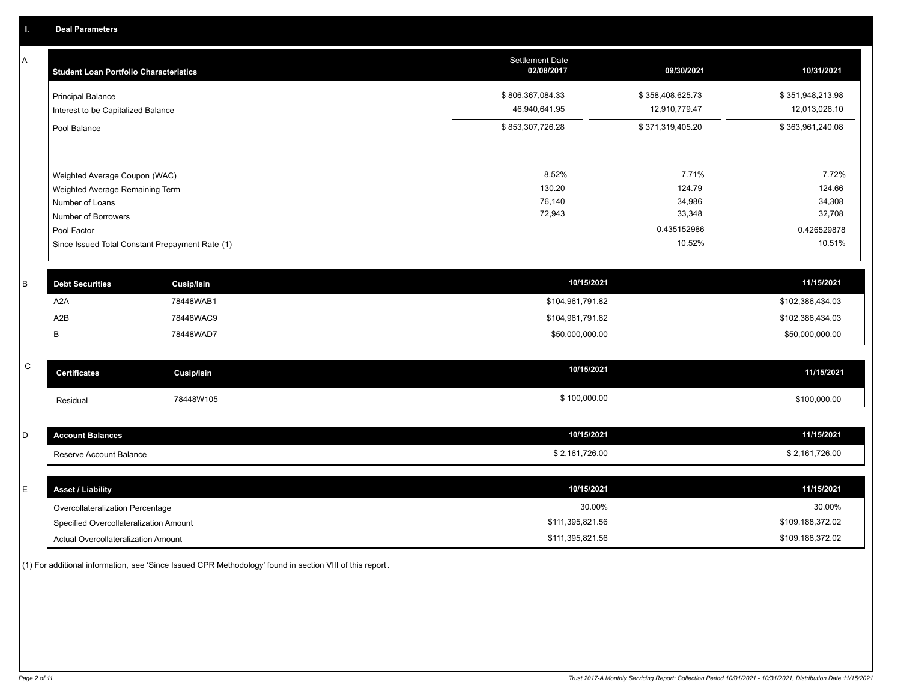A

| A            | <b>Student Loan Portfolio Characteristics</b>      | Settlement Date<br>02/08/2017 | 09/30/2021       | 10/31/2021       |
|--------------|----------------------------------------------------|-------------------------------|------------------|------------------|
|              | <b>Principal Balance</b>                           | \$806,367,084.33              | \$358,408,625.73 | \$351,948,213.98 |
|              | Interest to be Capitalized Balance                 | 46,940,641.95                 | 12,910,779.47    | 12,013,026.10    |
|              | Pool Balance                                       | \$853,307,726.28              | \$371,319,405.20 | \$363,961,240.08 |
|              |                                                    |                               |                  |                  |
|              | Weighted Average Coupon (WAC)                      | 8.52%<br>130.20               | 7.71%<br>124.79  | 7.72%<br>124.66  |
|              | Weighted Average Remaining Term<br>Number of Loans | 76,140                        | 34,986           | 34,308           |
|              | Number of Borrowers                                | 72,943                        | 33,348           | 32,708           |
|              | Pool Factor                                        |                               | 0.435152986      | 0.426529878      |
|              | Since Issued Total Constant Prepayment Rate (1)    |                               | 10.52%           | 10.51%           |
| B            | <b>Debt Securities</b><br><b>Cusip/Isin</b>        | 10/15/2021                    |                  | 11/15/2021       |
|              | A <sub>2</sub> A<br>78448WAB1                      | \$104,961,791.82              |                  | \$102,386,434.03 |
|              | A2B<br>78448WAC9                                   | \$104,961,791.82              |                  | \$102,386,434.03 |
|              | B<br>78448WAD7                                     | \$50,000,000.00               |                  | \$50,000,000.00  |
| $\mathsf{C}$ | <b>Certificates</b><br><b>Cusip/Isin</b>           | 10/15/2021                    |                  | 11/15/2021       |
|              |                                                    |                               |                  |                  |
|              | 78448W105<br>Residual                              | \$100,000.00                  |                  | \$100,000.00     |
|              |                                                    |                               |                  |                  |
| D            | <b>Account Balances</b>                            | 10/15/2021                    |                  | 11/15/2021       |
|              | Reserve Account Balance                            | \$2,161,726.00                |                  | \$2,161,726.00   |
| E            | <b>Asset / Liability</b>                           | 10/15/2021                    |                  | 11/15/2021       |
|              | Overcollateralization Percentage                   | 30.00%                        |                  | 30.00%           |
|              | Specified Overcollateralization Amount             | \$111,395,821.56              |                  | \$109,188,372.02 |

(1) For additional information, see 'Since Issued CPR Methodology' found in section VIII of this report .

Specified Overcollateralization Amount

Actual Overcollateralization Amount \$111,395,821.56

\$109,188,372.02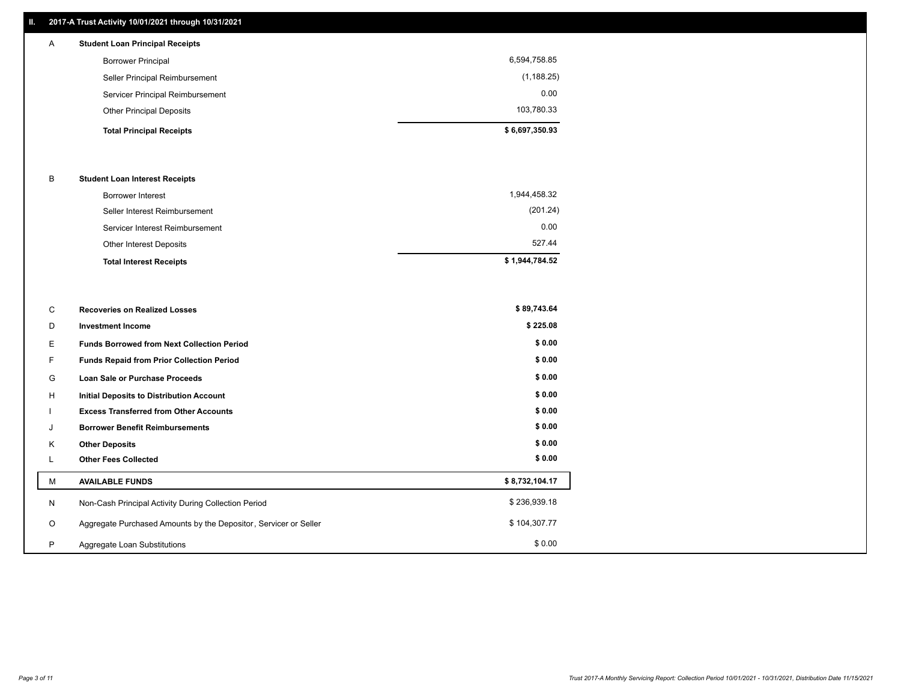# **II. 2017-A Trust Activity 10/01/2021 through 10/31/2021**

| A | <b>Student Loan Principal Receipts</b> |                |
|---|----------------------------------------|----------------|
|   | <b>Borrower Principal</b>              | 6,594,758.85   |
|   | Seller Principal Reimbursement         | (1, 188.25)    |
|   | Servicer Principal Reimbursement       | 0.00           |
|   | <b>Other Principal Deposits</b>        | 103,780.33     |
|   | <b>Total Principal Receipts</b>        | \$6,697,350.93 |

#### B **Student Loan Interest Receipts**

| <b>Total Interest Receipts</b>  | \$1,944,784.52 |
|---------------------------------|----------------|
| Other Interest Deposits         | 527.44         |
| Servicer Interest Reimbursement | 0.00           |
| Seller Interest Reimbursement   | (201.24)       |
| Borrower Interest               | 1,944,458.32   |

| C       | <b>Recoveries on Realized Losses</b>                             | \$89,743.64    |
|---------|------------------------------------------------------------------|----------------|
| D       | <b>Investment Income</b>                                         | \$225.08       |
| Е       | <b>Funds Borrowed from Next Collection Period</b>                | \$0.00         |
|         | Funds Repaid from Prior Collection Period                        | \$0.00         |
| G       | Loan Sale or Purchase Proceeds                                   | \$0.00         |
| Н       | Initial Deposits to Distribution Account                         | \$0.00         |
|         | <b>Excess Transferred from Other Accounts</b>                    | \$0.00         |
|         | <b>Borrower Benefit Reimbursements</b>                           | \$0.00         |
| K       | <b>Other Deposits</b>                                            | \$0.00         |
|         | <b>Other Fees Collected</b>                                      | \$0.00         |
| М       | <b>AVAILABLE FUNDS</b>                                           | \$8,732,104.17 |
| N       | Non-Cash Principal Activity During Collection Period             | \$236,939.18   |
| $\circ$ | Aggregate Purchased Amounts by the Depositor, Servicer or Seller | \$104,307.77   |
| P       | Aggregate Loan Substitutions                                     | \$0.00         |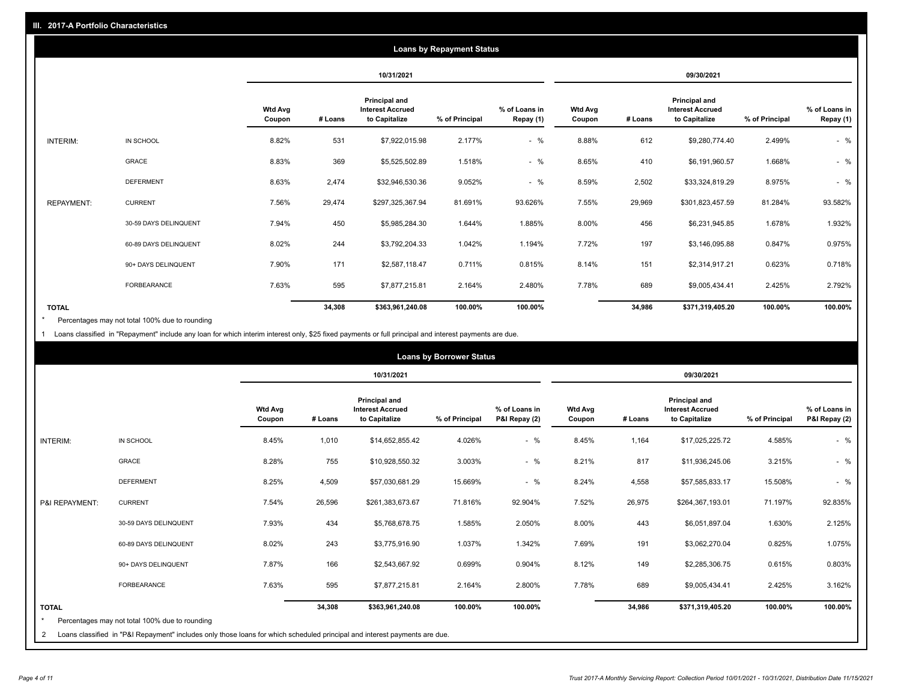| <b>Loans by Repayment Status</b> |                       |                          |            |                                                           |                |                            |                          |         |                                                           |                |                            |
|----------------------------------|-----------------------|--------------------------|------------|-----------------------------------------------------------|----------------|----------------------------|--------------------------|---------|-----------------------------------------------------------|----------------|----------------------------|
|                                  |                       |                          | 10/31/2021 |                                                           |                | 09/30/2021                 |                          |         |                                                           |                |                            |
|                                  |                       | <b>Wtd Avg</b><br>Coupon | # Loans    | Principal and<br><b>Interest Accrued</b><br>to Capitalize | % of Principal | % of Loans in<br>Repay (1) | <b>Wtd Avg</b><br>Coupon | # Loans | Principal and<br><b>Interest Accrued</b><br>to Capitalize | % of Principal | % of Loans in<br>Repay (1) |
| INTERIM:                         | IN SCHOOL             | 8.82%                    | 531        | \$7,922,015.98                                            | 2.177%         | $-$ %                      | 8.88%                    | 612     | \$9,280,774.40                                            | 2.499%         | $-$ %                      |
|                                  | GRACE                 | 8.83%                    | 369        | \$5,525,502.89                                            | 1.518%         | $-$ %                      | 8.65%                    | 410     | \$6,191,960.57                                            | 1.668%         | $-$ %                      |
|                                  | <b>DEFERMENT</b>      | 8.63%                    | 2,474      | \$32,946,530.36                                           | 9.052%         | $-$ %                      | 8.59%                    | 2,502   | \$33,324,819.29                                           | 8.975%         | $-$ %                      |
| <b>REPAYMENT:</b>                | <b>CURRENT</b>        | 7.56%                    | 29,474     | \$297,325,367.94                                          | 81.691%        | 93.626%                    | 7.55%                    | 29,969  | \$301,823,457.59                                          | 81.284%        | 93.582%                    |
|                                  | 30-59 DAYS DELINQUENT | 7.94%                    | 450        | \$5,985,284.30                                            | 1.644%         | 1.885%                     | 8.00%                    | 456     | \$6,231,945.85                                            | 1.678%         | 1.932%                     |
|                                  | 60-89 DAYS DELINQUENT | 8.02%                    | 244        | \$3,792,204.33                                            | 1.042%         | 1.194%                     | 7.72%                    | 197     | \$3,146,095.88                                            | 0.847%         | 0.975%                     |
|                                  | 90+ DAYS DELINQUENT   | 7.90%                    | 171        | \$2,587,118.47                                            | 0.711%         | 0.815%                     | 8.14%                    | 151     | \$2,314,917.21                                            | 0.623%         | 0.718%                     |
|                                  | <b>FORBEARANCE</b>    | 7.63%                    | 595        | \$7,877,215.81                                            | 2.164%         | 2.480%                     | 7.78%                    | 689     | \$9,005,434.41                                            | 2.425%         | 2.792%                     |
| <b>TOTAL</b>                     |                       |                          | 34,308     | \$363,961,240.08                                          | 100.00%        | 100.00%                    |                          | 34,986  | \$371,319,405.20                                          | 100.00%        | 100.00%                    |

Percentages may not total 100% due to rounding \*

1 Loans classified in "Repayment" include any loan for which interim interest only, \$25 fixed payments or full principal and interest payments are due.

| <b>Loans by Borrower Status</b> |                                                                                                                            |                          |         |                                                           |                |                                |                          |         |                                                                  |                |                                |
|---------------------------------|----------------------------------------------------------------------------------------------------------------------------|--------------------------|---------|-----------------------------------------------------------|----------------|--------------------------------|--------------------------|---------|------------------------------------------------------------------|----------------|--------------------------------|
|                                 |                                                                                                                            |                          |         | 10/31/2021                                                |                |                                | 09/30/2021               |         |                                                                  |                |                                |
|                                 |                                                                                                                            | <b>Wtd Avg</b><br>Coupon | # Loans | Principal and<br><b>Interest Accrued</b><br>to Capitalize | % of Principal | % of Loans in<br>P&I Repay (2) | <b>Wtd Avg</b><br>Coupon | # Loans | <b>Principal and</b><br><b>Interest Accrued</b><br>to Capitalize | % of Principal | % of Loans in<br>P&I Repay (2) |
| INTERIM:                        | IN SCHOOL                                                                                                                  | 8.45%                    | 1,010   | \$14,652,855.42                                           | 4.026%         | $-$ %                          | 8.45%                    | 1,164   | \$17,025,225.72                                                  | 4.585%         | $-$ %                          |
|                                 | <b>GRACE</b>                                                                                                               | 8.28%                    | 755     | \$10,928,550.32                                           | 3.003%         | $-$ %                          | 8.21%                    | 817     | \$11,936,245.06                                                  | 3.215%         | $-$ %                          |
|                                 | <b>DEFERMENT</b>                                                                                                           | 8.25%                    | 4,509   | \$57,030,681.29                                           | 15.669%        | $-$ %                          | 8.24%                    | 4,558   | \$57,585,833.17                                                  | 15.508%        | $-$ %                          |
| P&I REPAYMENT:                  | <b>CURRENT</b>                                                                                                             | 7.54%                    | 26,596  | \$261,383,673.67                                          | 71.816%        | 92.904%                        | 7.52%                    | 26,975  | \$264,367,193.01                                                 | 71.197%        | 92.835%                        |
|                                 | 30-59 DAYS DELINQUENT                                                                                                      | 7.93%                    | 434     | \$5,768,678.75                                            | 1.585%         | 2.050%                         | 8.00%                    | 443     | \$6,051,897.04                                                   | 1.630%         | 2.125%                         |
|                                 | 60-89 DAYS DELINQUENT                                                                                                      | 8.02%                    | 243     | \$3,775,916.90                                            | 1.037%         | 1.342%                         | 7.69%                    | 191     | \$3,062,270.04                                                   | 0.825%         | 1.075%                         |
|                                 | 90+ DAYS DELINQUENT                                                                                                        | 7.87%                    | 166     | \$2,543,667.92                                            | 0.699%         | 0.904%                         | 8.12%                    | 149     | \$2,285,306.75                                                   | 0.615%         | 0.803%                         |
|                                 | FORBEARANCE                                                                                                                | 7.63%                    | 595     | \$7,877,215.81                                            | 2.164%         | 2.800%                         | 7.78%                    | 689     | \$9,005,434.41                                                   | 2.425%         | 3.162%                         |
| <b>TOTAL</b><br>$\star$         | Percentages may not total 100% due to rounding                                                                             |                          | 34,308  | \$363,961,240.08                                          | 100.00%        | 100.00%                        |                          | 34,986  | \$371,319,405.20                                                 | 100.00%        | 100.00%                        |
| 2                               | Loans classified in "P&I Repayment" includes only those loans for which scheduled principal and interest payments are due. |                          |         |                                                           |                |                                |                          |         |                                                                  |                |                                |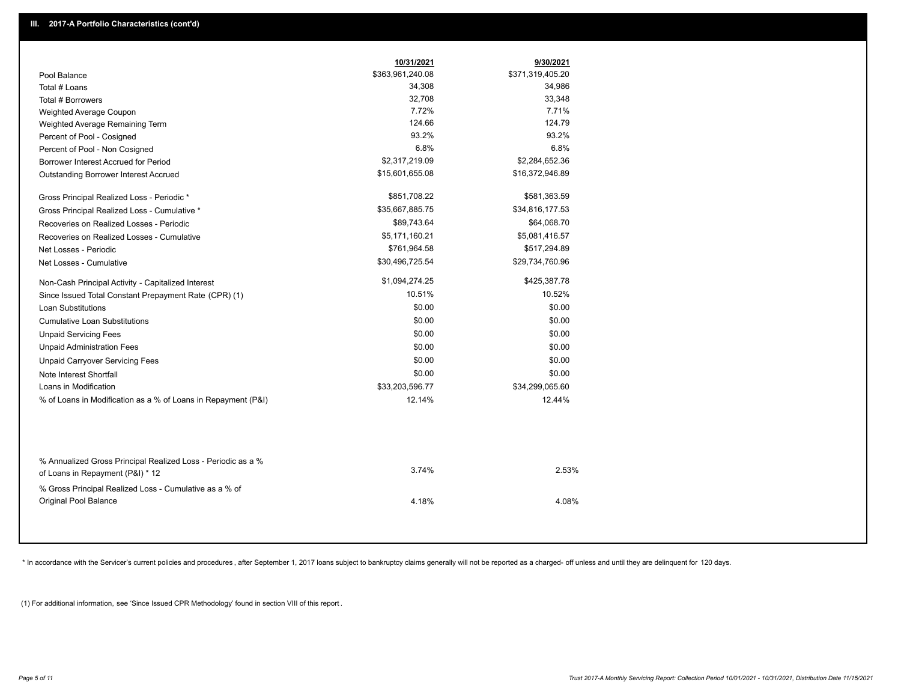|                                                                                                  | 10/31/2021       | 9/30/2021        |
|--------------------------------------------------------------------------------------------------|------------------|------------------|
| Pool Balance                                                                                     | \$363,961,240.08 | \$371,319,405.20 |
| Total # Loans                                                                                    | 34,308           | 34,986           |
| Total # Borrowers                                                                                | 32,708           | 33,348           |
| Weighted Average Coupon                                                                          | 7.72%            | 7.71%            |
| Weighted Average Remaining Term                                                                  | 124.66           | 124.79           |
| Percent of Pool - Cosigned                                                                       | 93.2%            | 93.2%            |
| Percent of Pool - Non Cosigned                                                                   | 6.8%             | 6.8%             |
| Borrower Interest Accrued for Period                                                             | \$2,317,219.09   | \$2,284,652.36   |
| <b>Outstanding Borrower Interest Accrued</b>                                                     | \$15,601,655.08  | \$16,372,946.89  |
| Gross Principal Realized Loss - Periodic *                                                       | \$851,708.22     | \$581,363.59     |
| Gross Principal Realized Loss - Cumulative *                                                     | \$35,667,885.75  | \$34,816,177.53  |
| Recoveries on Realized Losses - Periodic                                                         | \$89,743.64      | \$64,068.70      |
| Recoveries on Realized Losses - Cumulative                                                       | \$5,171,160.21   | \$5,081,416.57   |
| Net Losses - Periodic                                                                            | \$761,964.58     | \$517,294.89     |
| Net Losses - Cumulative                                                                          | \$30,496,725.54  | \$29,734,760.96  |
| Non-Cash Principal Activity - Capitalized Interest                                               | \$1,094,274.25   | \$425,387.78     |
| Since Issued Total Constant Prepayment Rate (CPR) (1)                                            | 10.51%           | 10.52%           |
| <b>Loan Substitutions</b>                                                                        | \$0.00           | \$0.00           |
| <b>Cumulative Loan Substitutions</b>                                                             | \$0.00           | \$0.00           |
| <b>Unpaid Servicing Fees</b>                                                                     | \$0.00           | \$0.00           |
| <b>Unpaid Administration Fees</b>                                                                | \$0.00           | \$0.00           |
| <b>Unpaid Carryover Servicing Fees</b>                                                           | \$0.00           | \$0.00           |
| Note Interest Shortfall                                                                          | \$0.00           | \$0.00           |
| Loans in Modification                                                                            | \$33,203,596.77  | \$34,299,065.60  |
| % of Loans in Modification as a % of Loans in Repayment (P&I)                                    | 12.14%           | 12.44%           |
|                                                                                                  |                  |                  |
| % Annualized Gross Principal Realized Loss - Periodic as a %<br>of Loans in Repayment (P&I) * 12 | 3.74%            | 2.53%            |
| % Gross Principal Realized Loss - Cumulative as a % of<br><b>Original Pool Balance</b>           | 4.18%            | 4.08%            |
|                                                                                                  |                  |                  |

\* In accordance with the Servicer's current policies and procedures, after September 1, 2017 loans subject to bankruptcy claims generally will not be reported as a charged- off unless and until they are delinquent for 120

(1) For additional information, see 'Since Issued CPR Methodology' found in section VIII of this report .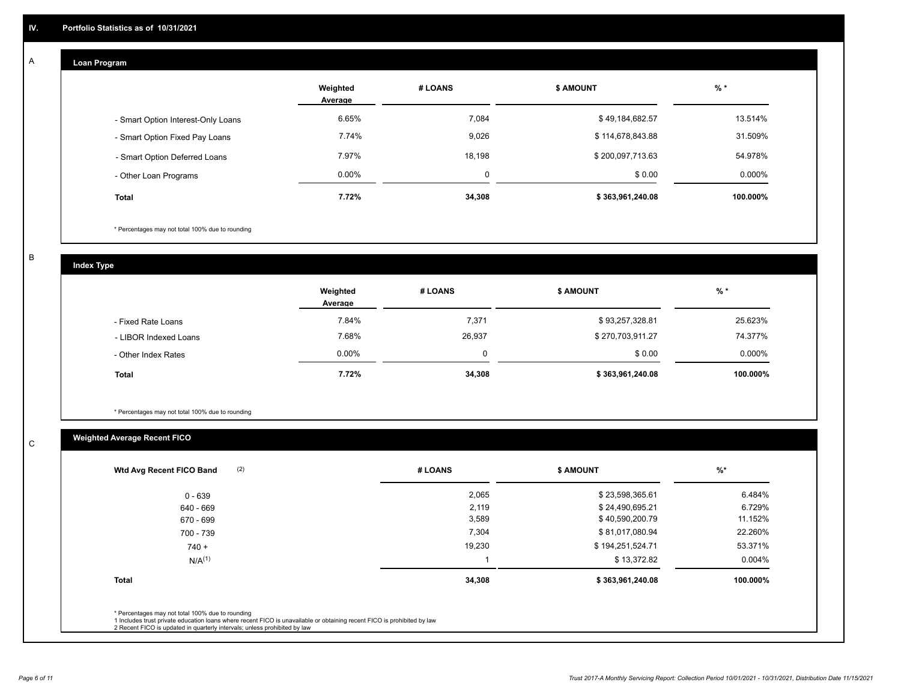#### **Loan Program**  A

|                                    | Weighted<br>Average | # LOANS  | <b>\$ AMOUNT</b> | $%$ *    |
|------------------------------------|---------------------|----------|------------------|----------|
| - Smart Option Interest-Only Loans | 6.65%               | 7.084    | \$49,184,682.57  | 13.514%  |
| - Smart Option Fixed Pay Loans     | 7.74%               | 9,026    | \$114,678,843.88 | 31.509%  |
| - Smart Option Deferred Loans      | 7.97%               | 18.198   | \$200,097,713.63 | 54.978%  |
| - Other Loan Programs              | $0.00\%$            | $\Omega$ | \$0.00           | 0.000%   |
| <b>Total</b>                       | 7.72%               | 34,308   | \$363,961,240.08 | 100.000% |

\* Percentages may not total 100% due to rounding

B

C

**Index Type**

|                       | Weighted<br>Average | # LOANS | <b>\$ AMOUNT</b> | % *       |
|-----------------------|---------------------|---------|------------------|-----------|
| - Fixed Rate Loans    | 7.84%               | 7,371   | \$93,257,328.81  | 25.623%   |
| - LIBOR Indexed Loans | 7.68%               | 26,937  | \$270,703,911.27 | 74.377%   |
| - Other Index Rates   | $0.00\%$            |         | \$0.00           | $0.000\%$ |
| <b>Total</b>          | 7.72%               | 34,308  | \$363,961,240.08 | 100.000%  |

\* Percentages may not total 100% due to rounding

# **Weighted Average Recent FICO**

| 2,065<br>2,119<br>3,589<br>7,304 | \$23,598,365.61<br>\$24,490,695.21<br>\$40,590,200.79 | 6.484%<br>6.729%<br>11.152% |
|----------------------------------|-------------------------------------------------------|-----------------------------|
|                                  |                                                       |                             |
|                                  |                                                       |                             |
|                                  |                                                       |                             |
|                                  | \$81,017,080.94                                       | 22.260%                     |
| 19,230                           | \$194,251,524.71                                      | 53.371%                     |
|                                  | \$13,372.82                                           | $0.004\%$                   |
|                                  | \$363,961,240.08                                      | 100.000%                    |
|                                  | 34,308                                                |                             |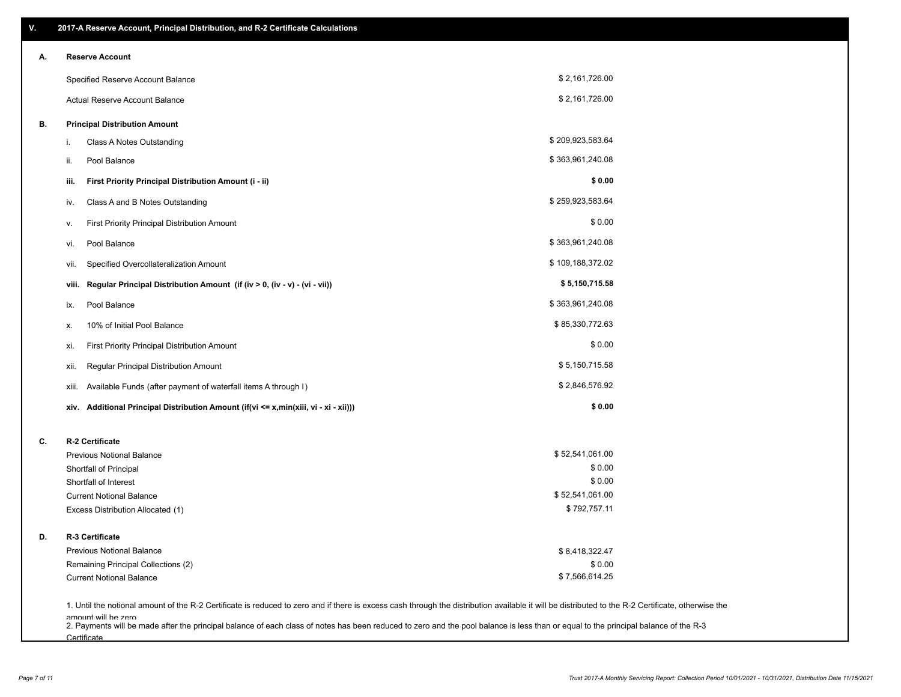| V. | 2017-A Reserve Account, Principal Distribution, and R-2 Certificate Calculations                                                                                                                           |                                 |  |
|----|------------------------------------------------------------------------------------------------------------------------------------------------------------------------------------------------------------|---------------------------------|--|
| А. | <b>Reserve Account</b>                                                                                                                                                                                     |                                 |  |
|    | Specified Reserve Account Balance                                                                                                                                                                          | \$2,161,726.00                  |  |
|    | <b>Actual Reserve Account Balance</b>                                                                                                                                                                      | \$2,161,726.00                  |  |
| В. | <b>Principal Distribution Amount</b>                                                                                                                                                                       |                                 |  |
|    | Class A Notes Outstanding<br>i.                                                                                                                                                                            | \$209,923,583.64                |  |
|    | Pool Balance<br>ii.                                                                                                                                                                                        | \$363,961,240.08                |  |
|    | First Priority Principal Distribution Amount (i - ii)<br>iii.                                                                                                                                              | \$0.00                          |  |
|    | Class A and B Notes Outstanding<br>iv.                                                                                                                                                                     | \$259,923,583.64                |  |
|    | First Priority Principal Distribution Amount<br>۷.                                                                                                                                                         | \$0.00                          |  |
|    | Pool Balance<br>vi.                                                                                                                                                                                        | \$363,961,240.08                |  |
|    | Specified Overcollateralization Amount<br>vii.                                                                                                                                                             | \$109,188,372.02                |  |
|    | Regular Principal Distribution Amount (if (iv > 0, (iv - v) - (vi - vii))<br>viii.                                                                                                                         | \$5,150,715.58                  |  |
|    | Pool Balance<br>ix.                                                                                                                                                                                        | \$363,961,240.08                |  |
|    | 10% of Initial Pool Balance<br>х.                                                                                                                                                                          | \$85,330,772.63                 |  |
|    | First Priority Principal Distribution Amount<br>xi.                                                                                                                                                        | \$0.00                          |  |
|    | Regular Principal Distribution Amount<br>xii.                                                                                                                                                              | \$5,150,715.58                  |  |
|    | Available Funds (after payment of waterfall items A through I)<br>xiii.                                                                                                                                    | \$2,846,576.92                  |  |
|    | xiv. Additional Principal Distribution Amount (if(vi <= x,min(xiii, vi - xi - xii)))                                                                                                                       | \$0.00                          |  |
| C. | R-2 Certificate                                                                                                                                                                                            |                                 |  |
|    | <b>Previous Notional Balance</b>                                                                                                                                                                           | \$52,541,061.00                 |  |
|    | Shortfall of Principal                                                                                                                                                                                     | \$0.00                          |  |
|    | Shortfall of Interest                                                                                                                                                                                      | \$0.00                          |  |
|    | <b>Current Notional Balance</b>                                                                                                                                                                            | \$52,541,061.00<br>\$792,757.11 |  |
|    | Excess Distribution Allocated (1)                                                                                                                                                                          |                                 |  |
| D. | R-3 Certificate                                                                                                                                                                                            |                                 |  |
|    | <b>Previous Notional Balance</b>                                                                                                                                                                           | \$8,418,322.47                  |  |
|    | Remaining Principal Collections (2)                                                                                                                                                                        | \$0.00                          |  |
|    | <b>Current Notional Balance</b>                                                                                                                                                                            | \$7,566,614.25                  |  |
|    | 1. Until the notional amount of the R-2 Certificate is reduced to zero and if there is excess cash through the distribution available it will be distributed to the R-2 Certificate, otherwise the         |                                 |  |
|    | amount will be zero<br>2. Payments will be made after the principal balance of each class of notes has been reduced to zero and the pool balance is less than or equal to the principal balance of the R-3 |                                 |  |

**Certificate**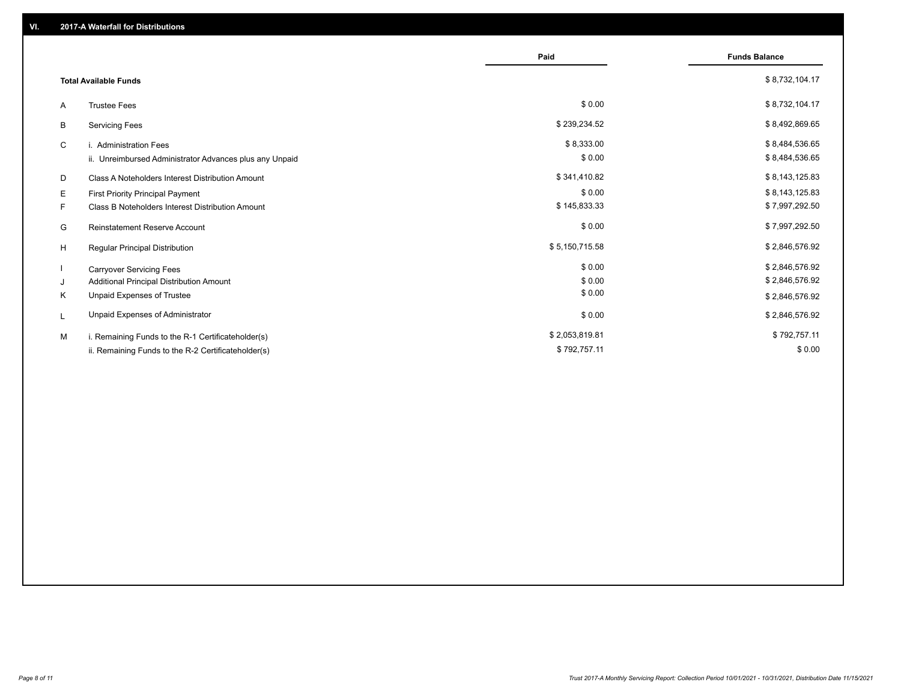|    |                                                         | Paid           | <b>Funds Balance</b> |
|----|---------------------------------------------------------|----------------|----------------------|
|    | <b>Total Available Funds</b>                            |                | \$8,732,104.17       |
| A  | <b>Trustee Fees</b>                                     | \$0.00         | \$8,732,104.17       |
| В  | <b>Servicing Fees</b>                                   | \$239,234.52   | \$8,492,869.65       |
| C  | i. Administration Fees                                  | \$8,333.00     | \$8,484,536.65       |
|    | ii. Unreimbursed Administrator Advances plus any Unpaid | \$0.00         | \$8,484,536.65       |
| D  | Class A Noteholders Interest Distribution Amount        | \$341,410.82   | \$8,143,125.83       |
| Е  | First Priority Principal Payment                        | \$0.00         | \$8,143,125.83       |
| F. | Class B Noteholders Interest Distribution Amount        | \$145,833.33   | \$7,997,292.50       |
| G  | <b>Reinstatement Reserve Account</b>                    | \$0.00         | \$7,997,292.50       |
| H  | Regular Principal Distribution                          | \$5,150,715.58 | \$2,846,576.92       |
|    | <b>Carryover Servicing Fees</b>                         | \$0.00         | \$2,846,576.92       |
| J  | Additional Principal Distribution Amount                | \$0.00         | \$2,846,576.92       |
| Κ  | Unpaid Expenses of Trustee                              | \$0.00         | \$2,846,576.92       |
| L  | Unpaid Expenses of Administrator                        | \$0.00         | \$2,846,576.92       |
| M  | i. Remaining Funds to the R-1 Certificateholder(s)      | \$2,053,819.81 | \$792,757.11         |
|    | ii. Remaining Funds to the R-2 Certificateholder(s)     | \$792,757.11   | \$0.00               |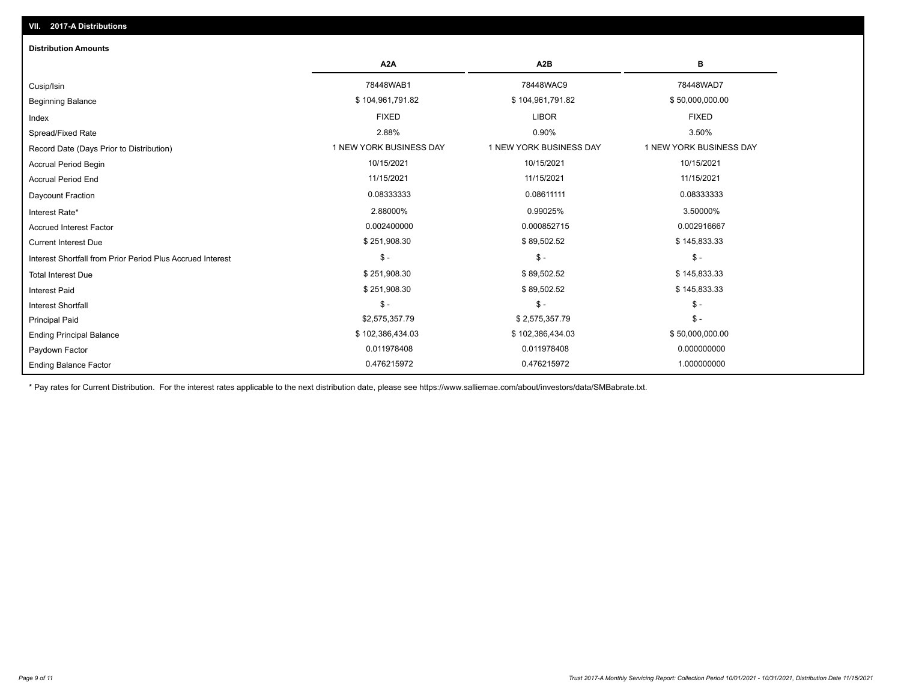| <b>Distribution Amounts</b>                                |                         |                         |                         |
|------------------------------------------------------------|-------------------------|-------------------------|-------------------------|
|                                                            | A <sub>2</sub> A        | A <sub>2</sub> B        | в                       |
| Cusip/Isin                                                 | 78448WAB1               | 78448WAC9               | 78448WAD7               |
| <b>Beginning Balance</b>                                   | \$104,961,791.82        | \$104,961,791.82        | \$50,000,000.00         |
| Index                                                      | <b>FIXED</b>            | <b>LIBOR</b>            | <b>FIXED</b>            |
| Spread/Fixed Rate                                          | 2.88%                   | 0.90%                   | 3.50%                   |
| Record Date (Days Prior to Distribution)                   | 1 NEW YORK BUSINESS DAY | 1 NEW YORK BUSINESS DAY | 1 NEW YORK BUSINESS DAY |
| Accrual Period Begin                                       | 10/15/2021              | 10/15/2021              | 10/15/2021              |
| <b>Accrual Period End</b>                                  | 11/15/2021              | 11/15/2021              | 11/15/2021              |
| Daycount Fraction                                          | 0.08333333              | 0.08611111              | 0.08333333              |
| Interest Rate*                                             | 2.88000%                | 0.99025%                | 3.50000%                |
| <b>Accrued Interest Factor</b>                             | 0.002400000             | 0.000852715             | 0.002916667             |
| <b>Current Interest Due</b>                                | \$251,908.30            | \$89,502.52             | \$145,833.33            |
| Interest Shortfall from Prior Period Plus Accrued Interest | $\mathcal{S}$ -         | $\mathcal{S}$ -         | $\mathcal{S}$ -         |
| <b>Total Interest Due</b>                                  | \$251,908.30            | \$89,502.52             | \$145,833.33            |
| Interest Paid                                              | \$251,908.30            | \$89,502.52             | \$145,833.33            |
| <b>Interest Shortfall</b>                                  | $\mathsf{\$}$ -         | $\mathsf{\$}$ -         | $\mathcal{S}$ -         |
| <b>Principal Paid</b>                                      | \$2,575,357.79          | \$2,575,357.79          | $\mathcal{S}$ -         |
| <b>Ending Principal Balance</b>                            | \$102,386,434.03        | \$102,386,434.03        | \$50,000,000.00         |
| Paydown Factor                                             | 0.011978408             | 0.011978408             | 0.000000000             |
| <b>Ending Balance Factor</b>                               | 0.476215972             | 0.476215972             | 1.000000000             |

\* Pay rates for Current Distribution. For the interest rates applicable to the next distribution date, please see https://www.salliemae.com/about/investors/data/SMBabrate.txt.

**VII. 2017-A Distributions**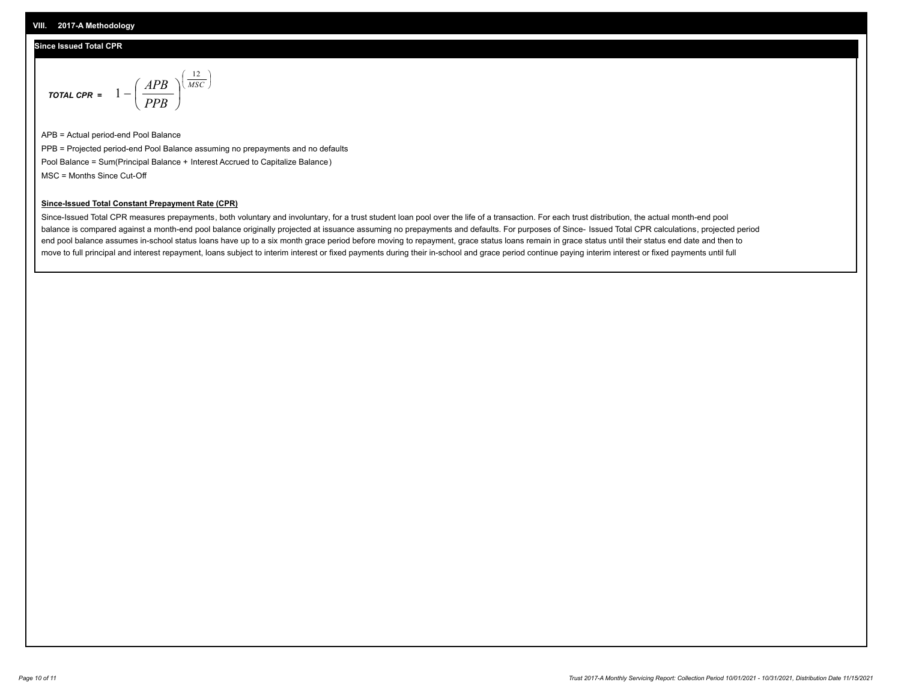### **Since Issued Total CPR**

$$
\text{total CPR} = 1 - \left(\frac{APB}{PPB}\right)^{\left(\frac{12}{MSC}\right)}
$$

APB = Actual period-end Pool Balance PPB = Projected period-end Pool Balance assuming no prepayments and no defaults Pool Balance = Sum(Principal Balance + Interest Accrued to Capitalize Balance) MSC = Months Since Cut-Off

I J Ι

#### **Since-Issued Total Constant Prepayment Rate (CPR)**

Since-Issued Total CPR measures prepayments, both voluntary and involuntary, for a trust student loan pool over the life of a transaction. For each trust distribution, the actual month-end pool balance is compared against a month-end pool balance originally projected at issuance assuming no prepayments and defaults. For purposes of Since- Issued Total CPR calculations, projected period end pool balance assumes in-school status loans have up to a six month grace period before moving to repayment, grace status loans remain in grace status until their status end date and then to move to full principal and interest repayment, loans subject to interim interest or fixed payments during their in-school and grace period continue paying interim interest or fixed payments until full